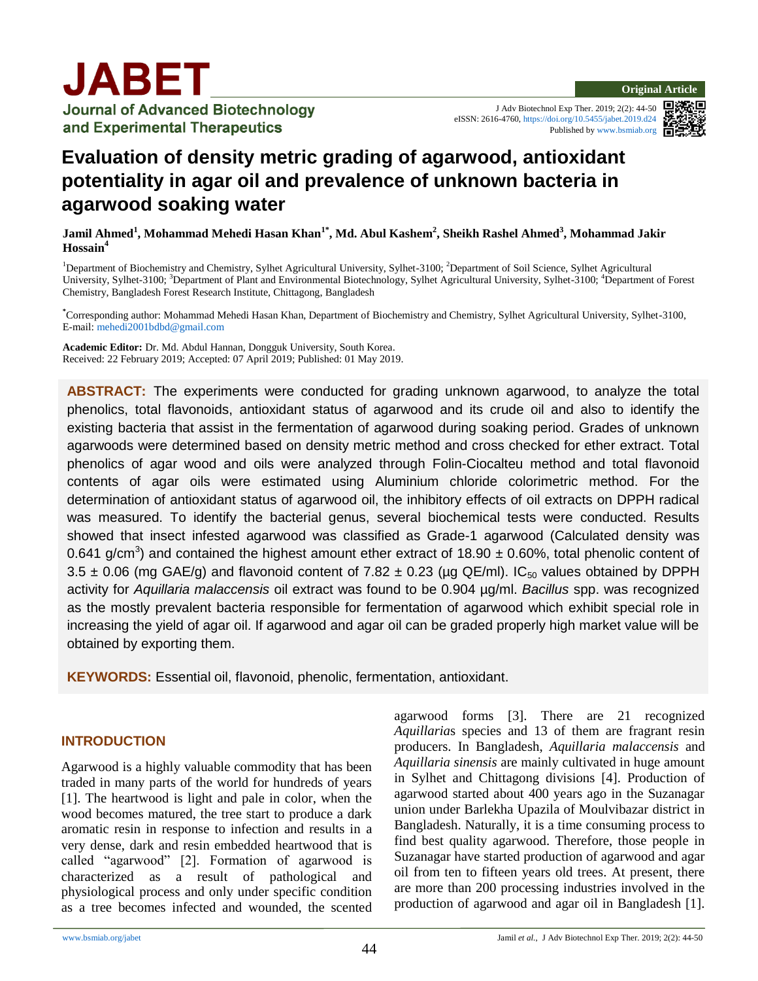J Adv Biotechnol Exp Ther. 2019; 2(2): 44-50 eISSN: 2616-4760, <https://doi.org/10.5455/jabet.2019.d24> Published b[y www.bsmiab.org](http://www.bsmiab.org/)



# **Evaluation of density metric grading of agarwood, antioxidant potentiality in agar oil and prevalence of unknown bacteria in agarwood soaking water**

**Jamil Ahmed<sup>1</sup> , Mohammad Mehedi Hasan Khan1\*, Md. Abul Kashem<sup>2</sup> , Sheikh Rashel Ahmed<sup>3</sup> , Mohammad Jakir Hossain<sup>4</sup>**

<sup>1</sup>Department of Biochemistry and Chemistry, Sylhet Agricultural University, Sylhet-3100; <sup>2</sup>Department of Soil Science, Sylhet Agricultural University, Sylhet-3100; <sup>3</sup>Department of Plant and Environmental Biotechnology, Sylhet Agricultural University, Sylhet-3100; <sup>4</sup>Department of Forest Chemistry, Bangladesh Forest Research Institute, Chittagong, Bangladesh

**\***Corresponding author: Mohammad Mehedi Hasan Khan, Department of Biochemistry and Chemistry, Sylhet Agricultural University, Sylhet-3100, E-mail[: mehedi2001bdbd@gmail.com](mailto:mehedi2001bdbd@gmail.com)

**Academic Editor:** Dr. Md. Abdul Hannan, Dongguk University, South Korea. Received: 22 February 2019; Accepted: 07 April 2019; Published: 01 May 2019.

**ABSTRACT:** The experiments were conducted for grading unknown agarwood, to analyze the total phenolics, total flavonoids, antioxidant status of agarwood and its crude oil and also to identify the existing bacteria that assist in the fermentation of agarwood during soaking period. Grades of unknown agarwoods were determined based on density metric method and cross checked for ether extract. Total phenolics of agar wood and oils were analyzed through Folin-Ciocalteu method and total flavonoid contents of agar oils were estimated using Aluminium chloride colorimetric method. For the determination of antioxidant status of agarwood oil, the inhibitory effects of oil extracts on DPPH radical was measured. To identify the bacterial genus, several biochemical tests were conducted. Results showed that insect infested agarwood was classified as Grade-1 agarwood (Calculated density was 0.641 g/cm<sup>3</sup>) and contained the highest amount ether extract of 18.90  $\pm$  0.60%, total phenolic content of 3.5  $\pm$  0.06 (mg GAE/g) and flavonoid content of 7.82  $\pm$  0.23 (µg QE/ml). IC<sub>50</sub> values obtained by DPPH activity for *Aquillaria malaccensis* oil extract was found to be 0.904 µg/ml. *Bacillus* spp. was recognized as the mostly prevalent bacteria responsible for fermentation of agarwood which exhibit special role in increasing the yield of agar oil. If agarwood and agar oil can be graded properly high market value will be obtained by exporting them.

**KEYWORDS:** Essential oil, flavonoid, phenolic, fermentation, antioxidant.

## **INTRODUCTION**

Agarwood is a highly valuable commodity that has been traded in many parts of the world for hundreds of years [1]. The heartwood is light and pale in color, when the wood becomes matured, the tree start to produce a dark aromatic resin in response to infection and results in a very dense, dark and resin embedded heartwood that is called "agarwood" [2]. Formation of agarwood is characterized as a result of pathological and physiological process and only under specific condition as a tree becomes infected and wounded, the scented agarwood forms [3]. There are 21 recognized *Aquillaria*s species and 13 of them are fragrant resin producers. In Bangladesh, *Aquillaria malaccensis* and *Aquillaria sinensis* are mainly cultivated in huge amount in Sylhet and Chittagong divisions [4]. Production of agarwood started about 400 years ago in the Suzanagar union under Barlekha Upazila of Moulvibazar district in Bangladesh. Naturally, it is a time consuming process to find best quality agarwood. Therefore, those people in Suzanagar have started production of agarwood and agar oil from ten to fifteen years old trees. At present, there are more than 200 processing industries involved in the production of agarwood and agar oil in Bangladesh [1].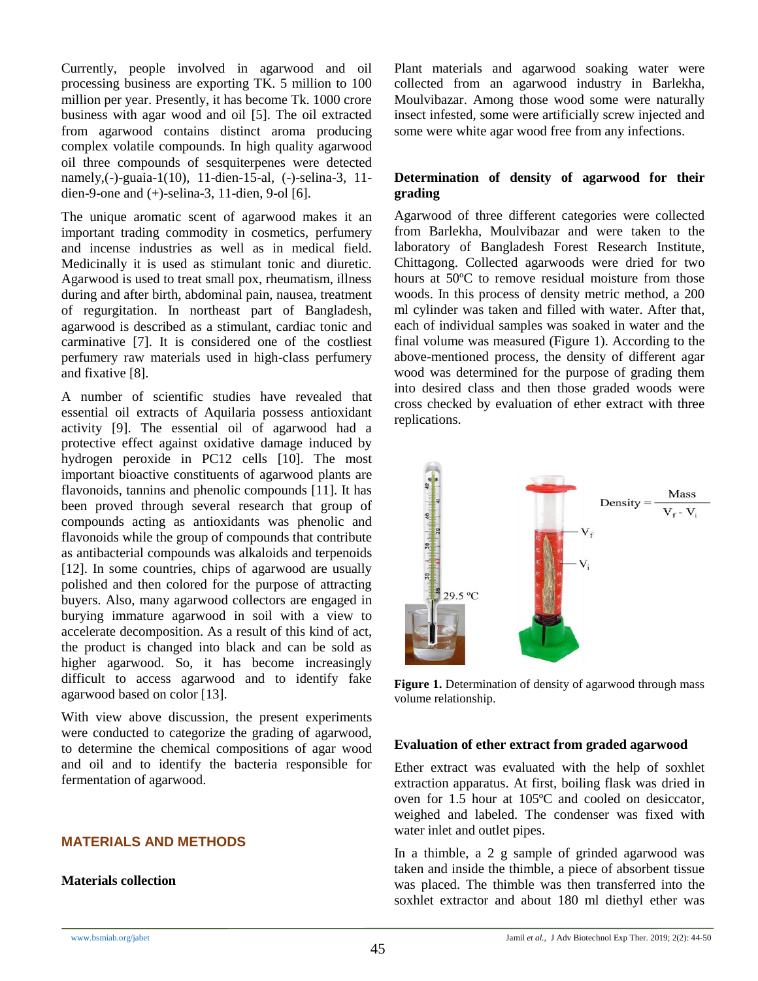Currently, people involved in agarwood and oil processing business are exporting TK. 5 million to 100 million per year. Presently, it has become Tk. 1000 crore business with agar wood and oil [5]. The oil extracted from agarwood contains distinct aroma producing complex volatile compounds. In high quality agarwood oil three compounds of sesquiterpenes were detected namely,(-)-guaia-1(10), 11-dien-15-al, (-)-selina-3, 11 dien-9-one and (+)-selina-3, 11-dien, 9-ol [6].

The unique aromatic scent of agarwood makes it an important trading commodity in cosmetics, perfumery and incense industries as well as in medical field. Medicinally it is used as stimulant tonic and diuretic. Agarwood is used to treat small pox, rheumatism, illness during and after birth, abdominal pain, nausea, treatment of regurgitation. In northeast part of Bangladesh, agarwood is described as a stimulant, cardiac tonic and carminative [7]. It is considered one of the costliest perfumery raw materials used in high-class perfumery and fixative [8].

A number of scientific studies have revealed that essential oil extracts of Aquilaria possess antioxidant activity [9]. The essential oil of agarwood had a protective effect against oxidative damage induced by hydrogen peroxide in PC12 cells [10]. The most important bioactive constituents of agarwood plants are flavonoids, tannins and phenolic compounds [11]. It has been proved through several research that group of compounds acting as antioxidants was phenolic and flavonoids while the group of compounds that contribute as antibacterial compounds was alkaloids and terpenoids [12]. In some countries, chips of agarwood are usually polished and then colored for the purpose of attracting buyers. Also, many agarwood collectors are engaged in burying immature agarwood in soil with a view to accelerate decomposition. As a result of this kind of act, the product is changed into black and can be sold as higher agarwood. So, it has become increasingly difficult to access agarwood and to identify fake agarwood based on color [13].

With view above discussion, the present experiments were conducted to categorize the grading of agarwood, to determine the chemical compositions of agar wood and oil and to identify the bacteria responsible for fermentation of agarwood.

#### **MATERIALS AND METHODS**

**Materials collection**

Plant materials and agarwood soaking water were collected from an agarwood industry in Barlekha, Moulvibazar. Among those wood some were naturally insect infested, some were artificially screw injected and some were white agar wood free from any infections.

#### **Determination of density of agarwood for their grading**

Agarwood of three different categories were collected from Barlekha, Moulvibazar and were taken to the laboratory of Bangladesh Forest Research Institute, Chittagong. Collected agarwoods were dried for two hours at 50ºC to remove residual moisture from those woods. In this process of density metric method, a 200 ml cylinder was taken and filled with water. After that, each of individual samples was soaked in water and the final volume was measured (Figure 1). According to the above-mentioned process, the density of different agar wood was determined for the purpose of grading them into desired class and then those graded woods were cross checked by evaluation of ether extract with three replications.



**Figure 1.** Determination of density of agarwood through mass volume relationship.

#### **Evaluation of ether extract from graded agarwood**

Ether extract was evaluated with the help of soxhlet extraction apparatus. At first, boiling flask was dried in oven for 1.5 hour at 105ºC and cooled on desiccator, weighed and labeled. The condenser was fixed with water inlet and outlet pipes.

In a thimble, a 2 g sample of grinded agarwood was taken and inside the thimble, a piece of absorbent tissue was placed. The thimble was then transferred into the soxhlet extractor and about 180 ml diethyl ether was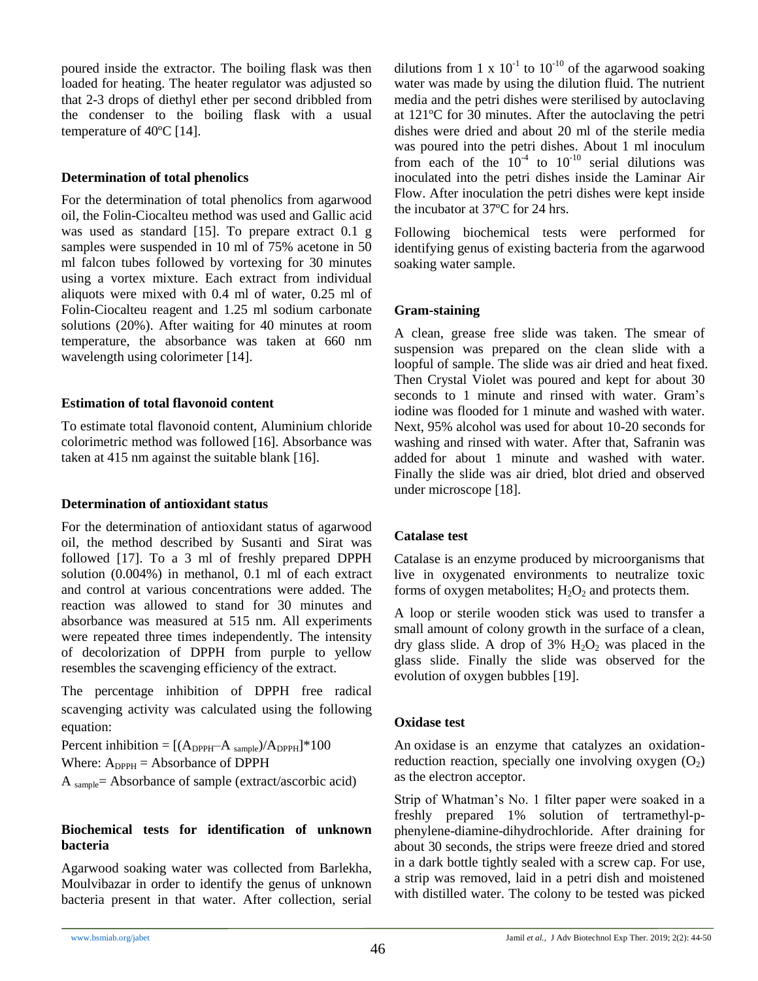poured inside the extractor. The boiling flask was then loaded for heating. The heater regulator was adjusted so that 2-3 drops of diethyl ether per second dribbled from the condenser to the boiling flask with a usual temperature of 40ºC [14].

#### **Determination of total phenolics**

For the determination of total phenolics from agarwood oil, the Folin-Ciocalteu method was used and Gallic acid was used as standard [15]. To prepare extract 0.1 g samples were suspended in 10 ml of 75% acetone in 50 ml falcon tubes followed by vortexing for 30 minutes using a vortex mixture. Each extract from individual aliquots were mixed with 0.4 ml of water, 0.25 ml of Folin-Ciocalteu reagent and 1.25 ml sodium carbonate solutions (20%). After waiting for 40 minutes at room temperature, the absorbance was taken at 660 nm wavelength using colorimeter [14].

#### **Estimation of total flavonoid content**

To estimate total flavonoid content, Aluminium chloride colorimetric method was followed [16]. Absorbance was taken at 415 nm against the suitable blank [16].

## **Determination of antioxidant status**

For the determination of antioxidant status of agarwood oil, the method described by Susanti and Sirat was followed [17]. To a 3 ml of freshly prepared DPPH solution (0.004%) in methanol, 0.1 ml of each extract and control at various concentrations were added. The reaction was allowed to stand for 30 minutes and absorbance was measured at 515 nm. All experiments were repeated three times independently. The intensity of decolorization of DPPH from purple to yellow resembles the scavenging efficiency of the extract.

The percentage inhibition of DPPH free radical scavenging activity was calculated using the following equation:

Percent inhibition =  $[(A_{\text{DPPH}}-A_{\text{sample}})/A_{\text{DPPH}}]$ <sup>\*</sup>100 Where:  $A_{\text{DPPH}} = A$ bsorbance of DPPH

A  $_{sample}$ = Absorbance of sample (extract/ascorbic acid)

#### **Biochemical tests for identification of unknown bacteria**

Agarwood soaking water was collected from Barlekha, Moulvibazar in order to identify the genus of unknown bacteria present in that water. After collection, serial

dilutions from 1 x  $10^{-1}$  to  $10^{-10}$  of the agarwood soaking water was made by using the dilution fluid. The nutrient media and the petri dishes were sterilised by autoclaving at 121ºC for 30 minutes. After the autoclaving the petri dishes were dried and about 20 ml of the sterile media was poured into the petri dishes. About 1 ml inoculum from each of the  $10^{-4}$  to  $10^{-10}$  serial dilutions was inoculated into the petri dishes inside the Laminar Air Flow. After inoculation the petri dishes were kept inside the incubator at 37ºC for 24 hrs.

Following biochemical tests were performed for identifying genus of existing bacteria from the agarwood soaking water sample.

## **Gram-staining**

A clean, grease free slide was taken. The smear of suspension was prepared on the clean slide with a loopful of sample. The slide was air dried and heat fixed. Then Crystal Violet was poured and kept for about 30 seconds to 1 minute and rinsed with water. Gram's iodine was flooded for 1 minute and washed with water. Next, 95% alcohol was used for about 10-20 seconds for washing and rinsed with water. After that, Safranin was added for about 1 minute and washed with water. Finally the slide was air dried, blot dried and observed under microscope [18].

## **Catalase test**

Catalase is an enzyme produced by microorganisms that live in oxygenated environments to neutralize toxic forms of oxygen metabolites;  $H_2O_2$  and protects them.

A loop or sterile wooden stick was used to transfer a small amount of colony growth in the surface of a clean, dry glass slide. A drop of  $3\%$  H<sub>2</sub>O<sub>2</sub> was placed in the glass slide. Finally the slide was observed for the evolution of oxygen bubbles [19].

## **Oxidase test**

An oxidase is an enzyme that catalyzes an oxidationreduction reaction, specially one involving oxygen  $(O_2)$ as the electron acceptor.

Strip of Whatman's No. 1 filter paper were soaked in a freshly prepared 1% solution of tertramethyl-pphenylene-diamine-dihydrochloride. After draining for about 30 seconds, the strips were freeze dried and stored in a dark bottle tightly sealed with a screw cap. For use, a strip was removed, laid in a petri dish and moistened with distilled water. The colony to be tested was picked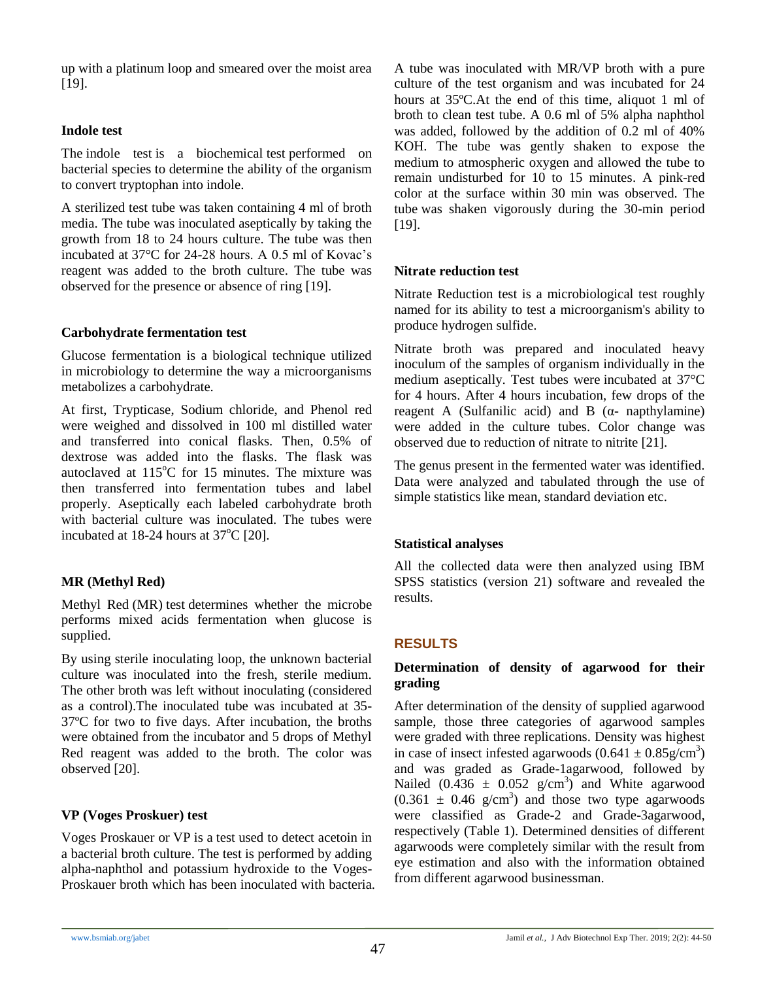up with a platinum loop and smeared over the moist area [19].

#### **Indole test**

The indole test is a biochemical test performed on bacterial species to determine the ability of the organism to convert tryptophan into indole.

A sterilized test tube was taken containing 4 ml of broth media. The tube was inoculated aseptically by taking the growth from 18 to 24 hours culture. The tube was then incubated at 37°C for 24-28 hours. A 0.5 ml of Kovac's reagent was added to the broth culture. The tube was observed for the presence or absence of ring [19].

#### **Carbohydrate fermentation test**

Glucose fermentation is a biological technique utilized in microbiology to determine the way a microorganisms metabolizes a carbohydrate.

At first, Trypticase, Sodium chloride, and Phenol red were weighed and dissolved in 100 ml distilled water and transferred into conical flasks. Then, 0.5% of dextrose was added into the flasks. The flask was autoclaved at  $115^{\circ}$ C for 15 minutes. The mixture was then transferred into fermentation tubes and label properly. Aseptically each labeled carbohydrate broth with bacterial culture was inoculated. The tubes were incubated at 18-24 hours at  $37^{\circ}$ C [20].

## **MR (Methyl Red)**

Methyl Red (MR) test determines whether the microbe performs mixed acids fermentation when glucose is supplied.

By using sterile inoculating loop, the unknown bacterial culture was inoculated into the fresh, sterile medium. The other broth was left without inoculating (considered as a control).The inoculated tube was incubated at 35- 37ºC for two to five days. After incubation, the broths were obtained from the incubator and 5 drops of Methyl Red reagent was added to the broth. The color was observed [20].

## **VP (Voges Proskuer) test**

Voges Proskauer or VP is a test used to detect acetoin in a bacterial broth culture. The test is performed by adding alpha-naphthol and potassium hydroxide to the Voges-Proskauer broth which has been inoculated with bacteria. A tube was inoculated with MR/VP broth with a pure culture of the test organism and was incubated for 24 hours at 35ºC.At the end of this time, aliquot 1 ml of broth to clean test tube. A 0.6 ml of 5% alpha naphthol was added, followed by the addition of 0.2 ml of 40% KOH. The tube was gently shaken to expose the medium to atmospheric oxygen and allowed the tube to remain undisturbed for 10 to 15 minutes. A pink-red color at the surface within 30 min was observed. The tube was shaken vigorously during the 30-min period [19].

#### **Nitrate reduction test**

Nitrate Reduction test is a microbiological test roughly named for its ability to test a microorganism's ability to produce hydrogen sulfide.

Nitrate broth was prepared and inoculated heavy inoculum of the samples of organism individually in the medium aseptically. Test tubes were incubated at 37°C for 4 hours. After 4 hours incubation, few drops of the reagent A (Sulfanilic acid) and B  $(\alpha$ - napthylamine) were added in the culture tubes. Color change was observed due to reduction of nitrate to nitrite [21].

The genus present in the fermented water was identified. Data were analyzed and tabulated through the use of simple statistics like mean, standard deviation etc.

## **Statistical analyses**

All the collected data were then analyzed using IBM SPSS statistics (version 21) software and revealed the results.

## **RESULTS**

## **Determination of density of agarwood for their grading**

After determination of the density of supplied agarwood sample, those three categories of agarwood samples were graded with three replications. Density was highest in case of insect infested agarwoods  $(0.641 \pm 0.85 \text{g/cm}^3)$ and was graded as Grade-1agarwood, followed by Nailed  $(0.436 \pm 0.052 \text{ g/cm}^3)$  and White agarwood  $(0.361 \pm 0.46 \text{ g/cm}^3)$  and those two type agarwoods were classified as Grade-2 and Grade-3agarwood, respectively (Table 1). Determined densities of different agarwoods were completely similar with the result from eye estimation and also with the information obtained from different agarwood businessman.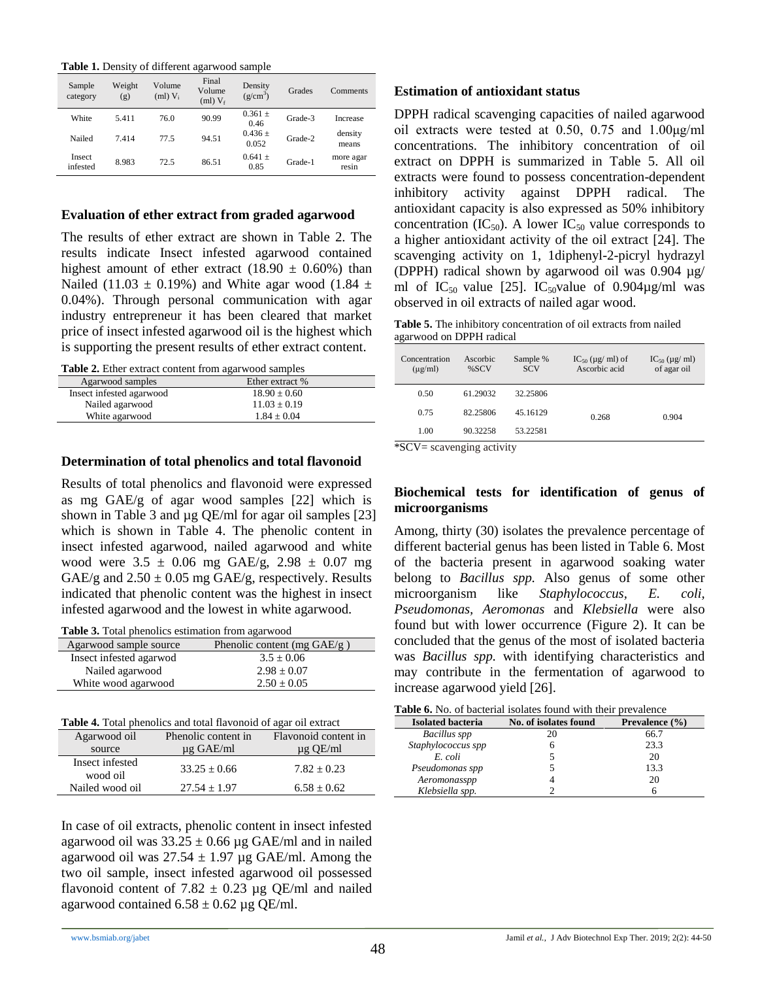**Table 1.** Density of different agarwood sample

| Sample<br>category | Weight<br>(g) | Volume<br>$(ml) V_i$ | Final<br>Volume<br>$(ml) V_f$ | Density<br>$(g/cm^3)$ | Grades  | Comments           |
|--------------------|---------------|----------------------|-------------------------------|-----------------------|---------|--------------------|
| White              | 5.411         | 76.0                 | 90.99                         | $0.361 \pm$<br>0.46   | Grade-3 | Increase           |
| Nailed             | 7414          | 77.5                 | 94.51                         | $0.436 \pm$<br>0.052  | Grade-2 | density<br>means   |
| Insect<br>infested | 8.983         | 72.5                 | 86.51                         | $0.641 +$<br>0.85     | Grade-1 | more agar<br>resin |

#### **Evaluation of ether extract from graded agarwood**

The results of ether extract are shown in Table 2. The results indicate Insect infested agarwood contained highest amount of ether extract (18.90  $\pm$  0.60%) than Nailed (11.03  $\pm$  0.19%) and White agar wood (1.84  $\pm$ ) 0.04%). Through personal communication with agar industry entrepreneur it has been cleared that market price of insect infested agarwood oil is the highest which is supporting the present results of ether extract content.

|  |  | Table 2. Ether extract content from agarwood samples |  |
|--|--|------------------------------------------------------|--|
|  |  |                                                      |  |

| Agarwood samples         | Ether extract %  |
|--------------------------|------------------|
| Insect infested agarwood | $18.90 \pm 0.60$ |
| Nailed agarwood          | $11.03 \pm 0.19$ |
| White agarwood           | $1.84 \pm 0.04$  |

#### **Determination of total phenolics and total flavonoid**

Results of total phenolics and flavonoid were expressed as mg GAE/g of agar wood samples [22] which is shown in Table 3 and  $\mu$ g QE/ml for agar oil samples [23] which is shown in Table 4. The phenolic content in insect infested agarwood, nailed agarwood and white wood were  $3.5 \pm 0.06$  mg GAE/g,  $2.98 \pm 0.07$  mg GAE/g and  $2.50 \pm 0.05$  mg GAE/g, respectively. Results indicated that phenolic content was the highest in insect infested agarwood and the lowest in white agarwood.

| Agarwood sample source  | Phenolic content (mg $GAE/g$ ) |
|-------------------------|--------------------------------|
| Insect infested agarwod | $3.5 \pm 0.06$                 |
| Nailed agarwood         | $2.98 + 0.07$                  |
| White wood agarwood     | $2.50 + 0.05$                  |

|  | <b>Table 4.</b> Total phenolics and total flavonoid of agar oil extract |
|--|-------------------------------------------------------------------------|
|  |                                                                         |

| Agarwood oil                | Phenolic content in | Flavonoid content in |  |  |  |
|-----------------------------|---------------------|----------------------|--|--|--|
| source                      | $\mu$ g GAE/ml      | $\mu$ g QE/ml        |  |  |  |
| Insect infested<br>wood oil | $33.25 + 0.66$      | $7.82 + 0.23$        |  |  |  |
| Nailed wood oil             | $27.54 + 1.97$      | $6.58 \pm 0.62$      |  |  |  |

In case of oil extracts, phenolic content in insect infested agarwood oil was  $33.25 \pm 0.66$  µg GAE/ml and in nailed agarwood oil was  $27.54 \pm 1.97$  µg GAE/ml. Among the two oil sample, insect infested agarwood oil possessed flavonoid content of 7.82  $\pm$  0.23 µg OE/ml and nailed agarwood contained  $6.58 \pm 0.62$  µg QE/ml.

#### **Estimation of antioxidant status**

DPPH radical scavenging capacities of nailed agarwood oil extracts were tested at 0.50, 0.75 and 1.00μg/ml concentrations. The inhibitory concentration of oil extract on DPPH is summarized in Table 5. All oil extracts were found to possess concentration-dependent inhibitory activity against DPPH radical. The antioxidant capacity is also expressed as 50% inhibitory concentration (IC<sub>50</sub>). A lower IC<sub>50</sub> value corresponds to a higher antioxidant activity of the oil extract [24]. The scavenging activity on 1, 1diphenyl-2-picryl hydrazyl (DPPH) radical shown by agarwood oil was 0.904 µg/ ml of IC<sub>50</sub> value [25]. IC<sub>50</sub> value of 0.904 $\mu$ g/ml was observed in oil extracts of nailed agar wood.

| <b>Table 5.</b> The inhibitory concentration of oil extracts from nailed |  |  |
|--------------------------------------------------------------------------|--|--|
| agarwood on DPPH radical                                                 |  |  |

| Concentration<br>$(\mu g/ml)$ | Ascorbic<br>%SCV | Sample %<br><b>SCV</b> | $IC_{50}$ (µg/ ml) of<br>Ascorbic acid | $IC_{50} (\mu g/ml)$<br>of agar oil |
|-------------------------------|------------------|------------------------|----------------------------------------|-------------------------------------|
| 0.50                          | 61.29032         | 32.25806               |                                        |                                     |
| 0.75                          | 82.25806         | 45.16129               | 0.268                                  | 0.904                               |
| 1.00                          | 90.32258         | 53.22581               |                                        |                                     |

\*SCV= scavenging activity

#### **Biochemical tests for identification of genus of microorganisms**

Among, thirty (30) isolates the prevalence percentage of different bacterial genus has been listed in Table 6. Most of the bacteria present in agarwood soaking water belong to *Bacillus spp.* Also genus of some other microorganism like *Staphylococcus, E. coli, Pseudomonas, Aeromonas* and *Klebsiella* were also found but with lower occurrence (Figure 2). It can be concluded that the genus of the most of isolated bacteria was *Bacillus spp.* with identifying characteristics and may contribute in the fermentation of agarwood to increase agarwood yield [26].

| Table 6. No. of bacterial isolates found with their prevalence |  |
|----------------------------------------------------------------|--|
|----------------------------------------------------------------|--|

| <b>rabic of</b> 190. Of bacterial homates found with their prevaience |                       |                    |  |  |  |
|-----------------------------------------------------------------------|-----------------------|--------------------|--|--|--|
| <b>Isolated bacteria</b>                                              | No. of isolates found | Prevalence $(\% )$ |  |  |  |
| Bacillus spp                                                          |                       | 66.7               |  |  |  |
| Staphylococcus spp                                                    |                       | 23.3               |  |  |  |
| E. coli                                                               |                       | 20                 |  |  |  |
| Pseudomonas spp                                                       |                       | 13.3               |  |  |  |
| Aeromonasspp                                                          |                       | 20                 |  |  |  |
| Klebsiella spp.                                                       |                       | h                  |  |  |  |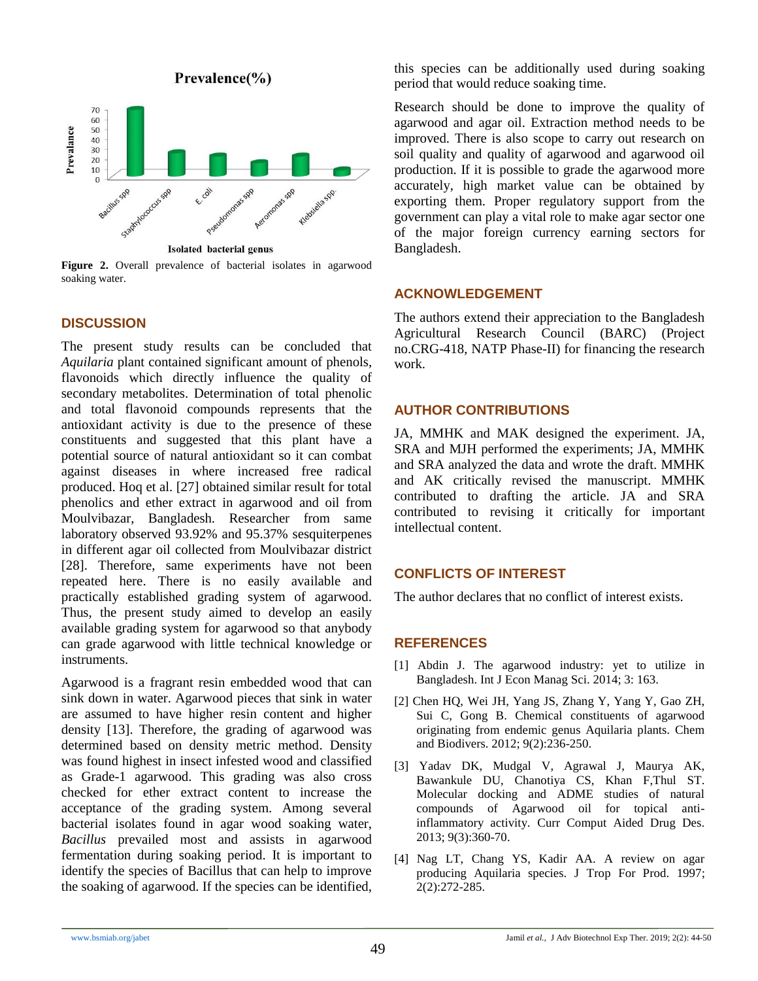

**Figure 2.** Overall prevalence of bacterial isolates in agarwood soaking water.

## **DISCUSSION**

The present study results can be concluded that *Aquilaria* plant contained significant amount of phenols, flavonoids which directly influence the quality of secondary metabolites. Determination of total phenolic and total flavonoid compounds represents that the antioxidant activity is due to the presence of these constituents and suggested that this plant have a potential source of natural antioxidant so it can combat against diseases in where increased free radical produced. Hoq et al. [27] obtained similar result for total phenolics and ether extract in agarwood and oil from Moulvibazar, Bangladesh. Researcher from same laboratory observed 93.92% and 95.37% sesquiterpenes in different agar oil collected from Moulvibazar district [28]. Therefore, same experiments have not been repeated here. There is no easily available and practically established grading system of agarwood. Thus, the present study aimed to develop an easily available grading system for agarwood so that anybody can grade agarwood with little technical knowledge or instruments.

Agarwood is a fragrant resin embedded wood that can sink down in water. Agarwood pieces that sink in water are assumed to have higher resin content and higher density [13]. Therefore, the grading of agarwood was determined based on density metric method. Density was found highest in insect infested wood and classified as Grade-1 agarwood. This grading was also cross checked for ether extract content to increase the acceptance of the grading system. Among several bacterial isolates found in agar wood soaking water, *Bacillus* prevailed most and assists in agarwood fermentation during soaking period. It is important to identify the species of Bacillus that can help to improve the soaking of agarwood. If the species can be identified, this species can be additionally used during soaking period that would reduce soaking time.

Research should be done to improve the quality of agarwood and agar oil. Extraction method needs to be improved. There is also scope to carry out research on soil quality and quality of agarwood and agarwood oil production. If it is possible to grade the agarwood more accurately, high market value can be obtained by exporting them. Proper regulatory support from the government can play a vital role to make agar sector one of the major foreign currency earning sectors for Bangladesh.

## **ACKNOWLEDGEMENT**

The authors extend their appreciation to the Bangladesh Agricultural Research Council (BARC) (Project no.CRG-418, NATP Phase-II) for financing the research work.

# **AUTHOR CONTRIBUTIONS**

JA, MMHK and MAK designed the experiment. JA, SRA and MJH performed the experiments; JA, MMHK and SRA analyzed the data and wrote the draft. MMHK and AK critically revised the manuscript. MMHK contributed to drafting the article. JA and SRA contributed to revising it critically for important intellectual content.

# **CONFLICTS OF INTEREST**

The author declares that no conflict of interest exists.

# **REFERENCES**

- [1] Abdin J. The agarwood industry: yet to utilize in Bangladesh. Int J Econ Manag Sci. 2014; 3: 163.
- [2] Chen HQ, Wei JH, Yang JS, Zhang Y, Yang Y, Gao ZH, Sui C, Gong B. Chemical constituents of agarwood originating from endemic genus Aquilaria plants. Chem and Biodivers. 2012; 9(2):236-250.
- [3] Yadav DK, Mudgal V, Agrawal J, Maurya AK, Bawankule DU, Chanotiya CS, Khan F,Thul ST. Molecular docking and ADME studies of natural compounds of Agarwood oil for topical antiinflammatory activity. Curr Comput Aided Drug Des. 2013; 9(3):360-70.
- [4] Nag LT, Chang YS, Kadir AA. A review on agar producing Aquilaria species. J Trop For Prod. 1997; 2(2):272-285.